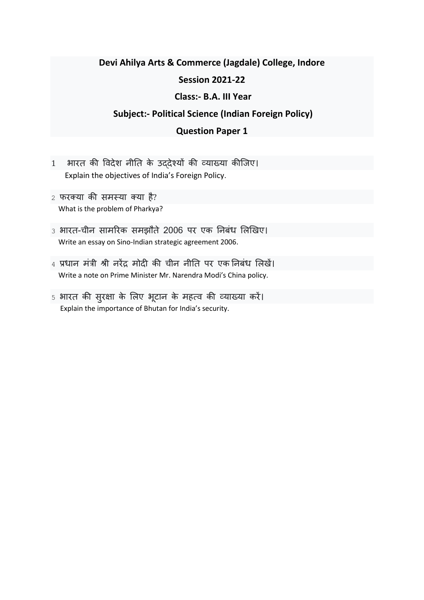## **Devi Ahilya Arts & Commerce (Jagdale) College, Indore Session 2021-22 Class:- B.A. III Year**

## **Subject:- Political Science (Indian Foreign Policy)**

## **Question Paper 1**

- 1 भारत की विदेश नीतत के उद्देश्यों की व्याख्या कीजिए। Explain the objectives of India's Foreign Policy.
- 2 फरक्या की समस्या क्या है? What is the problem of Pharkya?
- 3 भारत-चीन सामररक समझौते 2006 पर एक तनबंध लिखिए। Write an essay on Sino-Indian strategic agreement 2006.
- 4 प्रधान मंत्री श्री नरेंद्र मोदी की चीन नीतत पर एक तनबंध लििें। Write a note on Prime Minister Mr. Narendra Modi's China policy.
- 5 भारत की सुरक्षा के लिए भूटान के महत्ि की व्याख्या करें। Explain the importance of Bhutan for India's security.